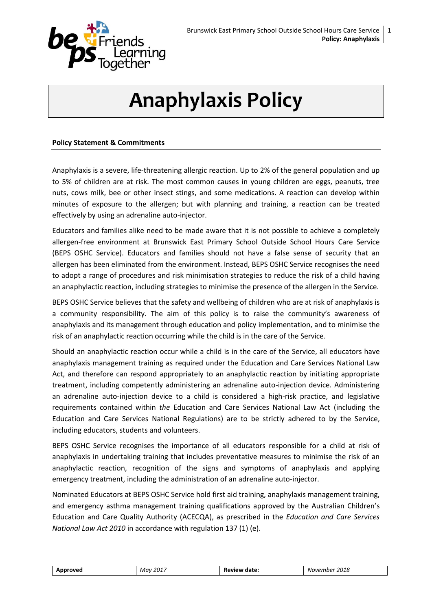

# **Anaphylaxis Policy**

#### **Policy Statement & Commitments**

Anaphylaxis is a severe, life-threatening allergic reaction. Up to 2% of the general population and up to 5% of children are at risk. The most common causes in young children are eggs, peanuts, tree nuts, cows milk, bee or other insect stings, and some medications. A reaction can develop within minutes of exposure to the allergen; but with planning and training, a reaction can be treated effectively by using an adrenaline auto-injector.

Educators and families alike need to be made aware that it is not possible to achieve a completely allergen-free environment at Brunswick East Primary School Outside School Hours Care Service (BEPS OSHC Service). Educators and families should not have a false sense of security that an allergen has been eliminated from the environment. Instead, BEPS OSHC Service recognises the need to adopt a range of procedures and risk minimisation strategies to reduce the risk of a child having an anaphylactic reaction, including strategies to minimise the presence of the allergen in the Service.

BEPS OSHC Service believes that the safety and wellbeing of children who are at risk of anaphylaxis is a community responsibility. The aim of this policy is to raise the community's awareness of anaphylaxis and its management through education and policy implementation, and to minimise the risk of an anaphylactic reaction occurring while the child is in the care of the Service.

Should an anaphylactic reaction occur while a child is in the care of the Service, all educators have anaphylaxis management training as required under the Education and Care Services National Law Act, and therefore can respond appropriately to an anaphylactic reaction by initiating appropriate treatment, including competently administering an adrenaline auto-injection device. Administering an adrenaline auto-injection device to a child is considered a high-risk practice, and legislative requirements contained within *the* Education and Care Services National Law Act (including the Education and Care Services National Regulations) are to be strictly adhered to by the Service, including educators, students and volunteers.

BEPS OSHC Service recognises the importance of all educators responsible for a child at risk of anaphylaxis in undertaking training that includes preventative measures to minimise the risk of an anaphylactic reaction, recognition of the signs and symptoms of anaphylaxis and applying emergency treatment, including the administration of an adrenaline auto-injector.

Nominated Educators at BEPS OSHC Service hold first aid training, anaphylaxis management training, and emergency asthma management training qualifications approved by the Australian Children's Education and Care Quality Authority (ACECQA), as prescribed in the *Education and Care Services National Law Act 2010* in accordance with regulation 137 (1) (e).

| 2017<br>2018<br>Approved<br>Mav<br><b>Review date:</b><br>November |  |
|--------------------------------------------------------------------|--|
|--------------------------------------------------------------------|--|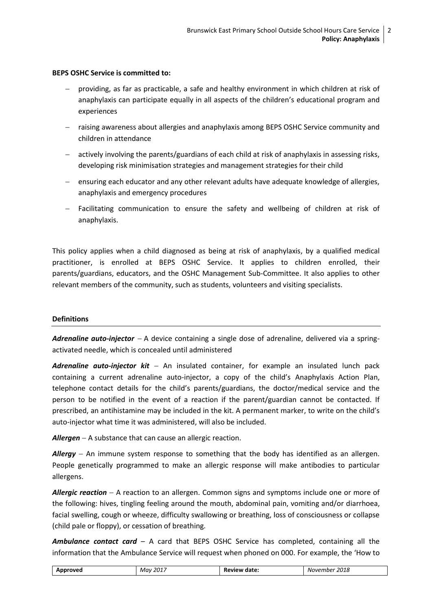#### **BEPS OSHC Service is committed to:**

- providing, as far as practicable, a safe and healthy environment in which children at risk of anaphylaxis can participate equally in all aspects of the children's educational program and experiences
- raising awareness about allergies and anaphylaxis among BEPS OSHC Service community and children in attendance
- actively involving the parents/guardians of each child at risk of anaphylaxis in assessing risks, developing risk minimisation strategies and management strategies for their child
- ensuring each educator and any other relevant adults have adequate knowledge of allergies, anaphylaxis and emergency procedures
- Facilitating communication to ensure the safety and wellbeing of children at risk of anaphylaxis.

This policy applies when a child diagnosed as being at risk of anaphylaxis, by a qualified medical practitioner, is enrolled at BEPS OSHC Service. It applies to children enrolled, their parents/guardians, educators, and the OSHC Management Sub-Committee. It also applies to other relevant members of the community, such as students, volunteers and visiting specialists.

#### **Definitions**

*Adrenaline auto-injector* A device containing a single dose of adrenaline, delivered via a springactivated needle, which is concealed until administered

*Adrenaline auto-injector kit* An insulated container, for example an insulated lunch pack containing a current adrenaline auto-injector, a copy of the child's Anaphylaxis Action Plan, telephone contact details for the child's parents/guardians, the doctor/medical service and the person to be notified in the event of a reaction if the parent/guardian cannot be contacted. If prescribed, an antihistamine may be included in the kit. A permanent marker, to write on the child's auto-injector what time it was administered, will also be included.

Allergen – A substance that can cause an allergic reaction.

Allergy – An immune system response to something that the body has identified as an allergen. People genetically programmed to make an allergic response will make antibodies to particular allergens.

Allergic reaction – A reaction to an allergen. Common signs and symptoms include one or more of the following: hives, tingling feeling around the mouth, abdominal pain, vomiting and/or diarrhoea, facial swelling, cough or wheeze, difficulty swallowing or breathing, loss of consciousness or collapse (child pale or floppy), or cessation of breathing.

*Ambulance contact card* – A card that BEPS OSHC Service has completed, containing all the information that the Ambulance Service will request when phoned on 000. For example, the 'How to

| Approved | 2017<br>Mav<br>_____ | <b>Review date:</b> | 2018<br>ember .<br>Novem |
|----------|----------------------|---------------------|--------------------------|
|          |                      |                     |                          |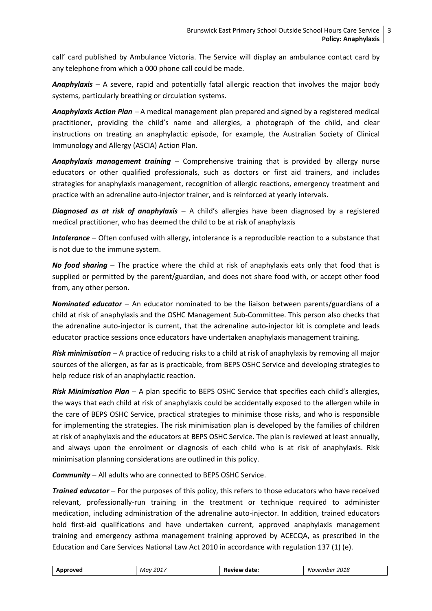call' card published by Ambulance Victoria. The Service will display an ambulance contact card by any telephone from which a 000 phone call could be made.

*Anaphylaxis* A severe, rapid and potentially fatal allergic reaction that involves the major body systems, particularly breathing or circulation systems.

*Anaphylaxis Action Plan* A medical management plan prepared and signed by a registered medical practitioner, providing the child's name and allergies, a photograph of the child, and clear instructions on treating an anaphylactic episode, for example, the Australian Society of Clinical Immunology and Allergy (ASCIA) Action Plan.

*Anaphylaxis management training* Comprehensive training that is provided by allergy nurse educators or other qualified professionals, such as doctors or first aid trainers, and includes strategies for anaphylaxis management, recognition of allergic reactions, emergency treatment and practice with an adrenaline auto-injector trainer, and is reinforced at yearly intervals.

**Diagnosed as at risk of anaphylaxis** – A child's allergies have been diagnosed by a registered medical practitioner, who has deemed the child to be at risk of anaphylaxis

*Intolerance* – Often confused with allergy, intolerance is a reproducible reaction to a substance that is not due to the immune system.

*No food sharing* - The practice where the child at risk of anaphylaxis eats only that food that is supplied or permitted by the parent/guardian, and does not share food with, or accept other food from, any other person.

*Nominated educator* An educator nominated to be the liaison between parents/guardians of a child at risk of anaphylaxis and the OSHC Management Sub-Committee. This person also checks that the adrenaline auto-injector is current, that the adrenaline auto-injector kit is complete and leads educator practice sessions once educators have undertaken anaphylaxis management training.

*Risk minimisation* A practice of reducing risks to a child at risk of anaphylaxis by removing all major sources of the allergen, as far as is practicable, from BEPS OSHC Service and developing strategies to help reduce risk of an anaphylactic reaction.

*Risk Minimisation Plan* A plan specific to BEPS OSHC Service that specifies each child's allergies, the ways that each child at risk of anaphylaxis could be accidentally exposed to the allergen while in the care of BEPS OSHC Service, practical strategies to minimise those risks, and who is responsible for implementing the strategies. The risk minimisation plan is developed by the families of children at risk of anaphylaxis and the educators at BEPS OSHC Service. The plan is reviewed at least annually, and always upon the enrolment or diagnosis of each child who is at risk of anaphylaxis. Risk minimisation planning considerations are outlined in this policy.

**Community** - All adults who are connected to BEPS OSHC Service.

*Trained educator* For the purposes of this policy, this refers to those educators who have received relevant, professionally-run training in the treatment or technique required to administer medication, including administration of the adrenaline auto-injector. In addition, trained educators hold first-aid qualifications and have undertaken current, approved anaphylaxis management training and emergency asthma management training approved by ACECQA, as prescribed in the Education and Care Services National Law Act 2010 in accordance with regulation 137 (1) (e).

| Approved | 2017<br>Mav | Review date: | 2018<br>Novem<br>∠mber |
|----------|-------------|--------------|------------------------|
|----------|-------------|--------------|------------------------|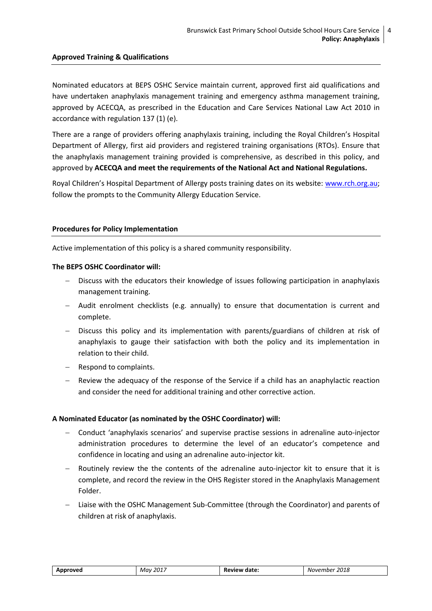#### **Approved Training & Qualifications**

Nominated educators at BEPS OSHC Service maintain current, approved first aid qualifications and have undertaken anaphylaxis management training and emergency asthma management training, approved by ACECQA, as prescribed in the Education and Care Services National Law Act 2010 in accordance with regulation 137 (1) (e).

There are a range of providers offering anaphylaxis training, including the Royal Children's Hospital Department of Allergy, first aid providers and registered training organisations (RTOs). Ensure that the anaphylaxis management training provided is comprehensive, as described in this policy, and approved by **ACECQA and meet the requirements of the National Act and National Regulations.**

Royal Children's Hospital Department of Allergy posts training dates on its website: [www.rch.org.au;](http://www.rch.org.au/) follow the prompts to the Community Allergy Education Service.

#### **Procedures for Policy Implementation**

Active implementation of this policy is a shared community responsibility.

#### **The BEPS OSHC Coordinator will:**

- Discuss with the educators their knowledge of issues following participation in anaphylaxis management training.
- Audit enrolment checklists (e.g. annually) to ensure that documentation is current and complete.
- Discuss this policy and its implementation with parents/guardians of children at risk of anaphylaxis to gauge their satisfaction with both the policy and its implementation in relation to their child.
- $-$  Respond to complaints.
- $-$  Review the adequacy of the response of the Service if a child has an anaphylactic reaction and consider the need for additional training and other corrective action.

#### **A Nominated Educator (as nominated by the OSHC Coordinator) will:**

- Conduct 'anaphylaxis scenarios' and supervise practise sessions in adrenaline auto-injector administration procedures to determine the level of an educator's competence and confidence in locating and using an adrenaline auto-injector kit.
- Routinely review the the contents of the adrenaline auto-injector kit to ensure that it is complete, and record the review in the OHS Register stored in the Anaphylaxis Management Folder.
- Liaise with the OSHC Management Sub-Committee (through the Coordinator) and parents of children at risk of anaphylaxis.

| Approved | May 2017 | Review date: | 2018<br>November |
|----------|----------|--------------|------------------|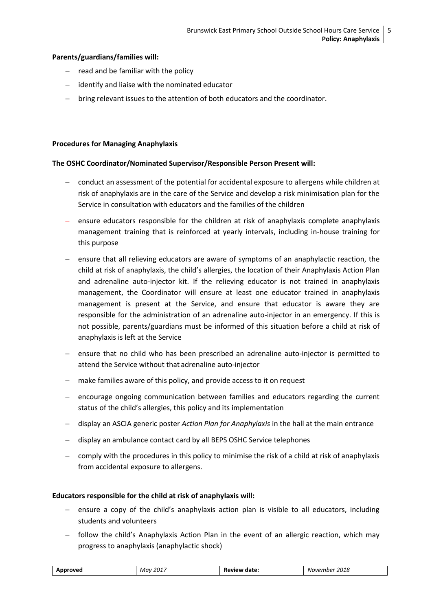#### **Parents/guardians/families will:**

- $-$  read and be familiar with the policy
- $-$  identify and liaise with the nominated educator
- bring relevant issues to the attention of both educators and the coordinator.

#### **Procedures for Managing Anaphylaxis**

#### **The OSHC Coordinator/Nominated Supervisor/Responsible Person Present will:**

- conduct an assessment of the potential for accidental exposure to allergens while children at risk of anaphylaxis are in the care of the Service and develop a risk minimisation plan for the Service in consultation with educators and the families of the children
- $-$  ensure educators responsible for the children at risk of anaphylaxis complete anaphylaxis management training that is reinforced at yearly intervals, including in-house training for this purpose
- ensure that all relieving educators are aware of symptoms of an anaphylactic reaction, the child at risk of anaphylaxis, the child's allergies, the location of their Anaphylaxis Action Plan and adrenaline auto-injector kit. If the relieving educator is not trained in anaphylaxis management, the Coordinator will ensure at least one educator trained in anaphylaxis management is present at the Service, and ensure that educator is aware they are responsible for the administration of an adrenaline auto-injector in an emergency. If this is not possible, parents/guardians must be informed of this situation before a child at risk of anaphylaxis is left at the Service
- ensure that no child who has been prescribed an adrenaline auto-injector is permitted to attend the Service without that adrenaline auto-injector
- make families aware of this policy, and provide access to it on request
- encourage ongoing communication between families and educators regarding the current status of the child's allergies, this policy and its implementation
- display an ASCIA generic poster *Action Plan for Anaphylaxis* in the hall at the main entrance
- display an ambulance contact card by all BEPS OSHC Service telephones
- comply with the procedures in this policy to minimise the risk of a child at risk of anaphylaxis from accidental exposure to allergens.

#### **Educators responsible for the child at risk of anaphylaxis will:**

- $-$  ensure a copy of the child's anaphylaxis action plan is visible to all educators, including students and volunteers
- follow the child's Anaphylaxis Action Plan in the event of an allergic reaction, which may progress to anaphylaxis (anaphylactic shock)

| Δr<br>. nyer<br>___ | .<br>201<br>May<br>_____ | date:<br>view<br>n.<br>. | $\sim$ $\sim$ $\sim$<br>2018<br>nher<br><b>NOVPI</b><br>____<br>. |
|---------------------|--------------------------|--------------------------|-------------------------------------------------------------------|
|                     |                          |                          |                                                                   |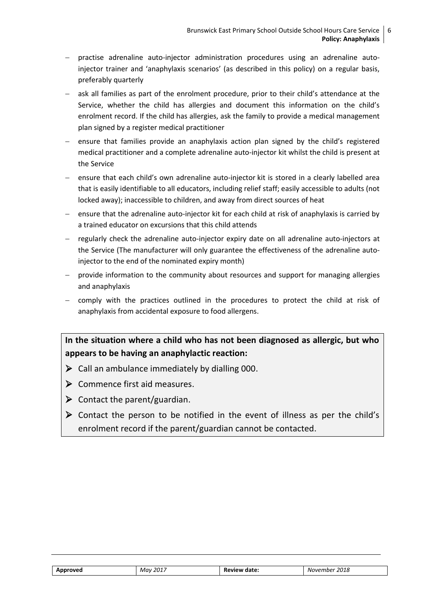- practise adrenaline auto-injector administration procedures using an adrenaline autoinjector trainer and 'anaphylaxis scenarios' (as described in this policy) on a regular basis, preferably quarterly
- ask all families as part of the enrolment procedure, prior to their child's attendance at the Service, whether the child has allergies and document this information on the child's enrolment record. If the child has allergies, ask the family to provide a medical management plan signed by a register medical practitioner
- ensure that families provide an anaphylaxis action plan signed by the child's registered medical practitioner and a complete adrenaline auto-injector kit whilst the child is present at the Service
- ensure that each child's own adrenaline auto-injector kit is stored in a clearly labelled area that is easily identifiable to all educators, including relief staff; easily accessible to adults (not locked away); inaccessible to children, and away from direct sources of heat
- ensure that the adrenaline auto-injector kit for each child at risk of anaphylaxis is carried by a trained educator on excursions that this child attends
- regularly check the adrenaline auto-injector expiry date on all adrenaline auto-injectors at the Service (The manufacturer will only guarantee the effectiveness of the adrenaline autoinjector to the end of the nominated expiry month)
- provide information to the community about resources and support for managing allergies and anaphylaxis
- comply with the practices outlined in the procedures to protect the child at risk of anaphylaxis from accidental exposure to food allergens.

### **In the situation where a child who has not been diagnosed as allergic, but who appears to be having an anaphylactic reaction:**

- $\triangleright$  Call an ambulance immediately by dialling 000.
- $\triangleright$  Commence first aid measures.
- $\triangleright$  Contact the parent/guardian.
- $\triangleright$  Contact the person to be notified in the event of illness as per the child's enrolment record if the parent/guardian cannot be contacted.

| oved | 2017<br>Mav | date.<br>wew | 2018<br><b>NOVP'</b><br>nne |
|------|-------------|--------------|-----------------------------|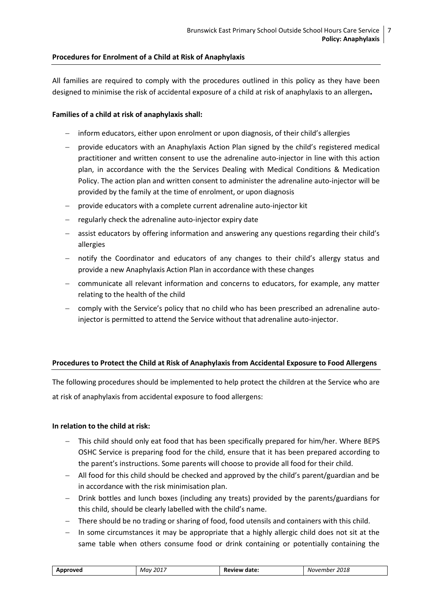#### **Procedures for Enrolment of a Child at Risk of Anaphylaxis**

All families are required to comply with the procedures outlined in this policy as they have been designed to minimise the risk of accidental exposure of a child at risk of anaphylaxis to an allergen**.**

#### **Families of a child at risk of anaphylaxis shall:**

- inform educators, either upon enrolment or upon diagnosis, of their child's allergies
- provide educators with an Anaphylaxis Action Plan signed by the child's registered medical practitioner and written consent to use the adrenaline auto-injector in line with this action plan, in accordance with the the Services Dealing with Medical Conditions & Medication Policy. The action plan and written consent to administer the adrenaline auto-injector will be provided by the family at the time of enrolment, or upon diagnosis
- $-$  provide educators with a complete current adrenaline auto-injector kit
- $-$  regularly check the adrenaline auto-injector expiry date
- assist educators by offering information and answering any questions regarding their child's allergies
- notify the Coordinator and educators of any changes to their child's allergy status and provide a new Anaphylaxis Action Plan in accordance with these changes
- communicate all relevant information and concerns to educators, for example, any matter relating to the health of the child
- comply with the Service's policy that no child who has been prescribed an adrenaline autoinjector is permitted to attend the Service without that adrenaline auto-injector.

#### **Procedures to Protect the Child at Risk of Anaphylaxis from Accidental Exposure to Food Allergens**

The following procedures should be implemented to help protect the children at the Service who are at risk of anaphylaxis from accidental exposure to food allergens:

#### **In relation to the child at risk:**

- This child should only eat food that has been specifically prepared for him/her. Where BEPS OSHC Service is preparing food for the child, ensure that it has been prepared according to the parent's instructions. Some parents will choose to provide all food for their child.
- All food for this child should be checked and approved by the child's parent/guardian and be in accordance with the risk minimisation plan.
- Drink bottles and lunch boxes (including any treats) provided by the parents/guardians for this child, should be clearly labelled with the child's name.
- There should be no trading or sharing of food, food utensils and containers with this child.
- In some circumstances it may be appropriate that a highly allergic child does not sit at the same table when others consume food or drink containing or potentially containing the

| Approved | - 2017 ر<br>Μαν | <b>Review</b><br>, date: | 2018<br>November<br>___ |
|----------|-----------------|--------------------------|-------------------------|
|----------|-----------------|--------------------------|-------------------------|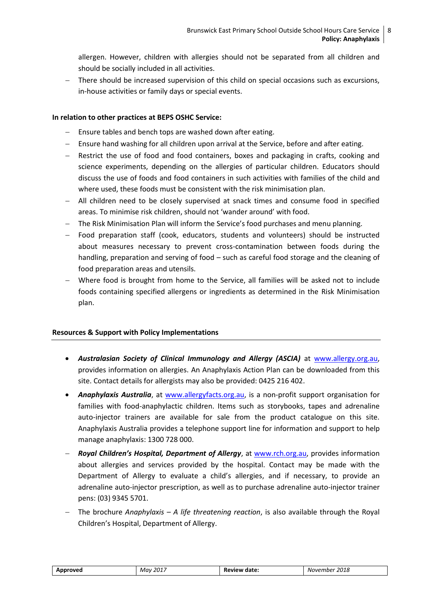allergen. However, children with allergies should not be separated from all children and should be socially included in all activities.

 There should be increased supervision of this child on special occasions such as excursions, in-house activities or family days or special events.

#### **In relation to other practices at BEPS OSHC Service:**

- $\overline{-}$  Ensure tables and bench tops are washed down after eating.
- Ensure hand washing for all children upon arrival at the Service, before and after eating.
- Restrict the use of food and food containers, boxes and packaging in crafts, cooking and science experiments, depending on the allergies of particular children. Educators should discuss the use of foods and food containers in such activities with families of the child and where used, these foods must be consistent with the risk minimisation plan.
- All children need to be closely supervised at snack times and consume food in specified areas. To minimise risk children, should not 'wander around' with food.
- The Risk Minimisation Plan will inform the Service's food purchases and menu planning.
- Food preparation staff (cook, educators, students and volunteers) should be instructed about measures necessary to prevent cross-contamination between foods during the handling, preparation and serving of food – such as careful food storage and the cleaning of food preparation areas and utensils.
- Where food is brought from home to the Service, all families will be asked not to include foods containing specified allergens or ingredients as determined in the Risk Minimisation plan.

#### **Resources & Support with Policy Implementations**

- *Australasian Society of Clinical Immunology and Allergy (ASCIA)* at [www.allergy.org.au,](http://www.allergy.org.au/) provides information on allergies. An Anaphylaxis Action Plan can be downloaded from this site. Contact details for allergists may also be provided: 0425 216 402.
- *Anaphylaxis Australia*, at [www.allergyfacts.org.au,](http://www.allergyfacts.org.au/) is a non-profit support organisation for families with food-anaphylactic children. Items such as storybooks, tapes and adrenaline auto-injector trainers are available for sale from the product catalogue on this site. Anaphylaxis Australia provides a telephone support line for information and support to help manage anaphylaxis: 1300 728 000.
- *Royal Children's Hospital, Department of Allergy*, at [www.rch.org.au,](http://www.rch.org.au/) provides information about allergies and services provided by the hospital. Contact may be made with the Department of Allergy to evaluate a child's allergies, and if necessary, to provide an adrenaline auto-injector prescription, as well as to purchase adrenaline auto-injector trainer pens: (03) 9345 5701.
- The brochure *Anaphylaxis – A life threatening reaction*, is also available through the Royal Children's Hospital, Department of Allergy.

| Approved | May 2017 | <b>Review date:</b> | November 2018 |
|----------|----------|---------------------|---------------|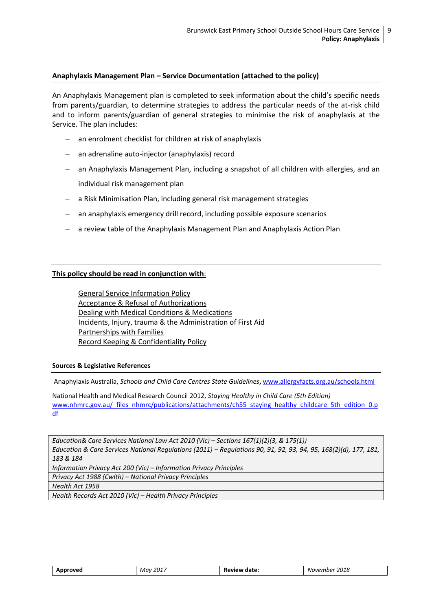#### **Anaphylaxis Management Plan – Service Documentation (attached to the policy)**

An Anaphylaxis Management plan is completed to seek information about the child's specific needs from parents/guardian, to determine strategies to address the particular needs of the at-risk child and to inform parents/guardian of general strategies to minimise the risk of anaphylaxis at the Service. The plan includes:

- an enrolment checklist for children at risk of anaphylaxis
- an adrenaline auto-injector (anaphylaxis) record
- an Anaphylaxis Management Plan, including a snapshot of all children with allergies, and an individual risk management plan
- a Risk Minimisation Plan, including general risk management strategies
- an anaphylaxis emergency drill record, including possible exposure scenarios
- a review table of the Anaphylaxis Management Plan and Anaphylaxis Action Plan

#### **This policy should be read in conjunction with**:

General Service Information Policy Acceptance & Refusal of Authorizations Dealing with Medical Conditions & Medications Incidents, Injury, trauma & the Administration of First Aid Partnerships with Families [Record Keeping & Confidentiality Policy](file:///C:/Users/08478100/Desktop/2017%20OSHC%20Policies%20to%20be%20uploaded%20to%20website/Information%20for%20Families%202017/BEPS%20OSHC%20POLICY_Enrolment%20,%20Re-enrolment%20&%20Orientation%20of%20Children%20July%202017.docx%23_5.7_PRIVACY_POLICY)

#### **Sources & Legislative References**

Anaphylaxis Australia, *Schools and Child Care Centres State Guidelines***,** [www.allergyfacts.org.au/schools.html](http://www.allergyfacts.org.au/schools.html)

National Health and Medical Research Council 2012, *Staying Healthy in Child Care (5th Edition)* [www.nhmrc.gov.au/\\_files\\_nhmrc/publications/attachments/ch55\\_staying\\_healthy\\_childcare\\_5th\\_edition\\_0.p](http://www.nhmrc.gov.au/_files_nhmrc/publications/attachments/ch55_staying_healthy_childcare_5th_edition_0.pdf) [df](http://www.nhmrc.gov.au/_files_nhmrc/publications/attachments/ch55_staying_healthy_childcare_5th_edition_0.pdf)

*Education& Care Services National Law Act 2010 (Vic) – Sections 167(1)(2)(3, & 175(1))*

*Education & Care Services National Regulations (2011) – Regulations 90, 91, 92, 93, 94, 95, 168(2)(d), 177, 181, 183 & 184*

*Information Privacy Act 200 (Vic) – Information Privacy Principles*

*Privacy Act 1988 (Cwlth) – National Privacy Principles*

*Health Act 1958* 

*Health Records Act 2010 (Vic) – Health Privacy Principles*

| oved<br>___ | , 2017<br>Mav<br>_____ | date:<br>vı<br><br>. | 2018<br>uner:<br><b>Nr</b><br>IUPr<br>___<br>____ |
|-------------|------------------------|----------------------|---------------------------------------------------|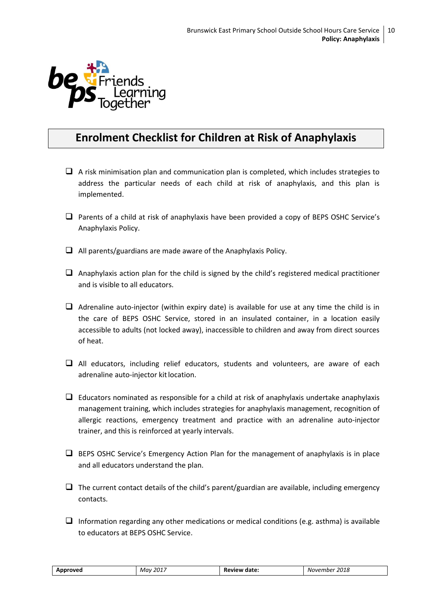

### **Enrolment Checklist for Children at Risk of Anaphylaxis**

- $\Box$  A risk minimisation plan and communication plan is completed, which includes strategies to address the particular needs of each child at risk of anaphylaxis, and this plan is implemented.
- $\Box$  Parents of a child at risk of anaphylaxis have been provided a copy of BEPS OSHC Service's Anaphylaxis Policy.
- $\Box$  All parents/guardians are made aware of the Anaphylaxis Policy.
- $\Box$  Anaphylaxis action plan for the child is signed by the child's registered medical practitioner and is visible to all educators.
- $\Box$  Adrenaline auto-injector (within expiry date) is available for use at any time the child is in the care of BEPS OSHC Service, stored in an insulated container, in a location easily accessible to adults (not locked away), inaccessible to children and away from direct sources of heat.
- $\Box$  All educators, including relief educators, students and volunteers, are aware of each adrenaline auto-injector kitlocation.
- $\Box$  Educators nominated as responsible for a child at risk of anaphylaxis undertake anaphylaxis management training, which includes strategies for anaphylaxis management, recognition of allergic reactions, emergency treatment and practice with an adrenaline auto-injector trainer, and this is reinforced at yearly intervals.
- $\Box$  BEPS OSHC Service's Emergency Action Plan for the management of anaphylaxis is in place and all educators understand the plan.
- $\Box$  The current contact details of the child's parent/guardian are available, including emergency contacts.
- **I** Information regarding any other medications or medical conditions (e.g. asthma) is available to educators at BEPS OSHC Service.

| Approved | - 2017<br>Mav | <b>Review date:</b> | 2018<br>November |
|----------|---------------|---------------------|------------------|
|          |               |                     |                  |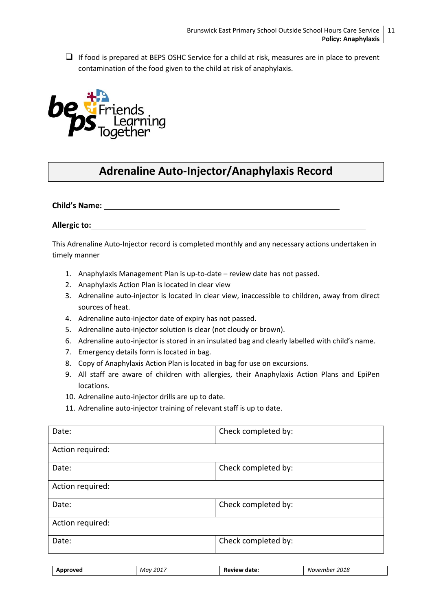$\Box$  If food is prepared at BEPS OSHC Service for a child at risk, measures are in place to prevent contamination of the food given to the child at risk of anaphylaxis.



### **Adrenaline Auto-Injector/Anaphylaxis Record**

#### **Child's Name:**

**Allergic to:**

This Adrenaline Auto-Injector record is completed monthly and any necessary actions undertaken in timely manner

- 1. Anaphylaxis Management Plan is up-to-date review date has not passed.
- 2. Anaphylaxis Action Plan is located in clear view
- 3. Adrenaline auto-injector is located in clear view, inaccessible to children, away from direct sources of heat.
- 4. Adrenaline auto-injector date of expiry has not passed.
- 5. Adrenaline auto-injector solution is clear (not cloudy or brown).
- 6. Adrenaline auto-injector is stored in an insulated bag and clearly labelled with child's name.
- 7. Emergency details form is located in bag.
- 8. Copy of Anaphylaxis Action Plan is located in bag for use on excursions.
- 9. All staff are aware of children with allergies, their Anaphylaxis Action Plans and EpiPen locations.
- 10. Adrenaline auto-injector drills are up to date.
- 11. Adrenaline auto-injector training of relevant staff is up to date.

| Date:            | Check completed by: |
|------------------|---------------------|
| Action required: |                     |
| Date:            | Check completed by: |
| Action required: |                     |
| Date:            | Check completed by: |
| Action required: |                     |
| Date:            | Check completed by: |

| וער | $/201^{-}$<br>May<br>_____ | .<br>_______ | 01C<br>uner.<br>W<br>ە 107.<br>____<br>_____ |
|-----|----------------------------|--------------|----------------------------------------------|
|-----|----------------------------|--------------|----------------------------------------------|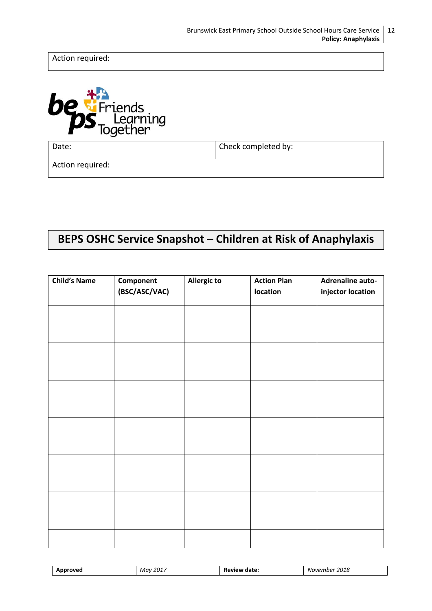Action required:



| Date:            | Check completed by: |
|------------------|---------------------|
| Action required: |                     |

# **BEPS OSHC Service Snapshot – Children at Risk of Anaphylaxis**

| <b>Child's Name</b> | Component     | Allergic to | <b>Action Plan</b> | <b>Adrenaline auto-</b> |
|---------------------|---------------|-------------|--------------------|-------------------------|
|                     | (BSC/ASC/VAC) |             | location           | injector location       |
|                     |               |             |                    |                         |
|                     |               |             |                    |                         |
|                     |               |             |                    |                         |
|                     |               |             |                    |                         |
|                     |               |             |                    |                         |
|                     |               |             |                    |                         |
|                     |               |             |                    |                         |
|                     |               |             |                    |                         |
|                     |               |             |                    |                         |
|                     |               |             |                    |                         |
|                     |               |             |                    |                         |
|                     |               |             |                    |                         |
|                     |               |             |                    |                         |

**Approved** *May 2017* **Review date:** *November 2018*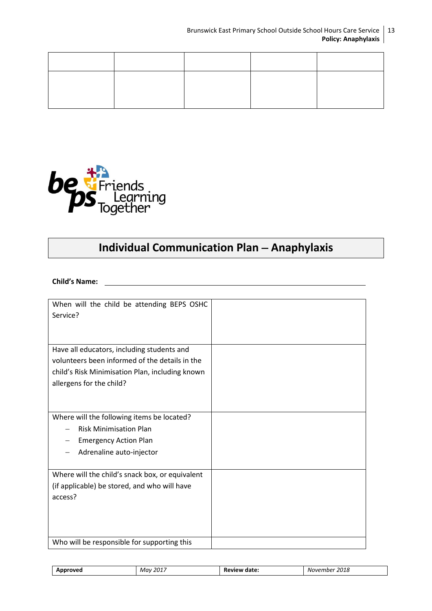

# **Individual Communication Plan - Anaphylaxis**

#### **Child's Name:**

| When will the child be attending BEPS OSHC      |  |
|-------------------------------------------------|--|
| Service?                                        |  |
|                                                 |  |
|                                                 |  |
| Have all educators, including students and      |  |
| volunteers been informed of the details in the  |  |
| child's Risk Minimisation Plan, including known |  |
| allergens for the child?                        |  |
|                                                 |  |
|                                                 |  |
| Where will the following items be located?      |  |
| <b>Risk Minimisation Plan</b>                   |  |
| <b>Emergency Action Plan</b>                    |  |
| Adrenaline auto-injector                        |  |
|                                                 |  |
| Where will the child's snack box, or equivalent |  |
| (if applicable) be stored, and who will have    |  |
| access?                                         |  |
|                                                 |  |
|                                                 |  |
|                                                 |  |
| Who will be responsible for supporting this     |  |

| 2017<br>Mau                                                            |                     |
|------------------------------------------------------------------------|---------------------|
| W.<br>$\cdot$ rnne<br>. JVP'<br>.<br>----<br>$  -$<br>_______<br>_____ | 2010<br>UIŏ<br>____ |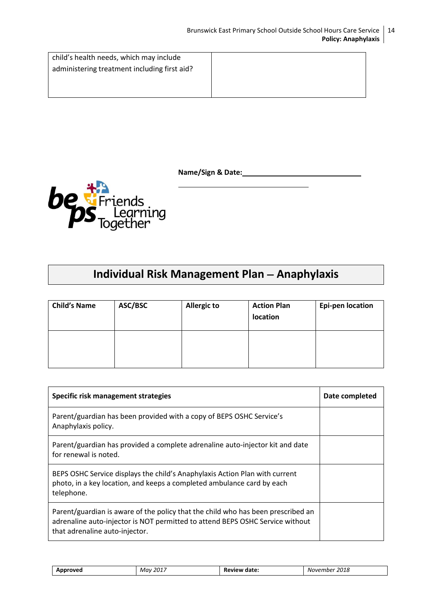| child's health needs, which may include      |  |
|----------------------------------------------|--|
| administering treatment including first aid? |  |
|                                              |  |
|                                              |  |

**Name/Sign & Date:**



# **Individual Risk Management Plan Anaphylaxis**

| <b>Child's Name</b> | ASC/BSC | <b>Allergic to</b> | <b>Action Plan</b><br>location | <b>Epi-pen location</b> |
|---------------------|---------|--------------------|--------------------------------|-------------------------|
|                     |         |                    |                                |                         |

| Specific risk management strategies                                                                                                                                                                 | Date completed |
|-----------------------------------------------------------------------------------------------------------------------------------------------------------------------------------------------------|----------------|
| Parent/guardian has been provided with a copy of BEPS OSHC Service's<br>Anaphylaxis policy.                                                                                                         |                |
| Parent/guardian has provided a complete adrenaline auto-injector kit and date<br>for renewal is noted.                                                                                              |                |
| BEPS OSHC Service displays the child's Anaphylaxis Action Plan with current<br>photo, in a key location, and keeps a completed ambulance card by each<br>telephone.                                 |                |
| Parent/guardian is aware of the policy that the child who has been prescribed an<br>adrenaline auto-injector is NOT permitted to attend BEPS OSHC Service without<br>that adrenaline auto-injector. |                |

| n n<br>…ove∽<br><u>. ш. </u><br>76 V | $ -$<br>วก1<br>Mav | к.<br>.<br>.<br>™uale. | 2018<br>.nher<br>Noven |
|--------------------------------------|--------------------|------------------------|------------------------|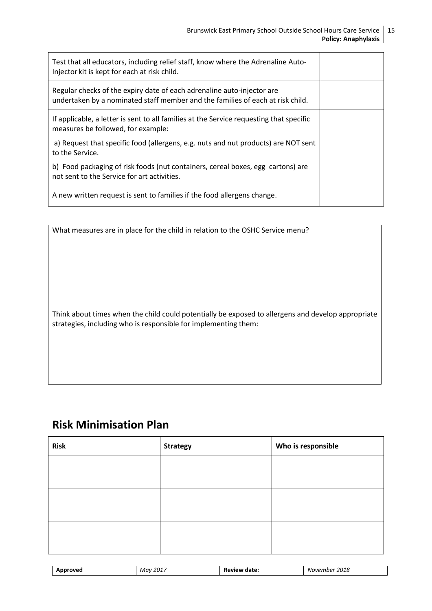| Test that all educators, including relief staff, know where the Adrenaline Auto-<br>Injector kit is kept for each at risk child.                         |  |
|----------------------------------------------------------------------------------------------------------------------------------------------------------|--|
| Regular checks of the expiry date of each adrenaline auto-injector are<br>undertaken by a nominated staff member and the families of each at risk child. |  |
| If applicable, a letter is sent to all families at the Service requesting that specific<br>measures be followed, for example:                            |  |
| a) Request that specific food (allergens, e.g. nuts and nut products) are NOT sent<br>to the Service.                                                    |  |
| b) Food packaging of risk foods (nut containers, cereal boxes, egg cartons) are<br>not sent to the Service for art activities.                           |  |
| A new written request is sent to families if the food allergens change.                                                                                  |  |

| What measures are in place for the child in relation to the OSHC Service menu?                     |
|----------------------------------------------------------------------------------------------------|
|                                                                                                    |
|                                                                                                    |
|                                                                                                    |
|                                                                                                    |
|                                                                                                    |
|                                                                                                    |
|                                                                                                    |
|                                                                                                    |
|                                                                                                    |
|                                                                                                    |
|                                                                                                    |
|                                                                                                    |
|                                                                                                    |
| Think about times when the child could potentially be exposed to allergens and develop appropriate |
|                                                                                                    |
| strategies, including who is responsible for implementing them:                                    |
|                                                                                                    |
|                                                                                                    |
|                                                                                                    |
|                                                                                                    |
|                                                                                                    |
|                                                                                                    |
|                                                                                                    |
|                                                                                                    |
|                                                                                                    |

### **Risk Minimisation Plan**

| <b>Risk</b> | <b>Strategy</b> | Who is responsible |
|-------------|-----------------|--------------------|
|             |                 |                    |
|             |                 |                    |
|             |                 |                    |
|             |                 |                    |
|             |                 |                    |
|             |                 |                    |

| ימער<br>$- - - -$ | / 2017<br>May<br>,,,,<br>____ | .<br>.<br>______ | 2018<br>uner<br>W.<br>____<br>____ |
|-------------------|-------------------------------|------------------|------------------------------------|
|                   |                               |                  |                                    |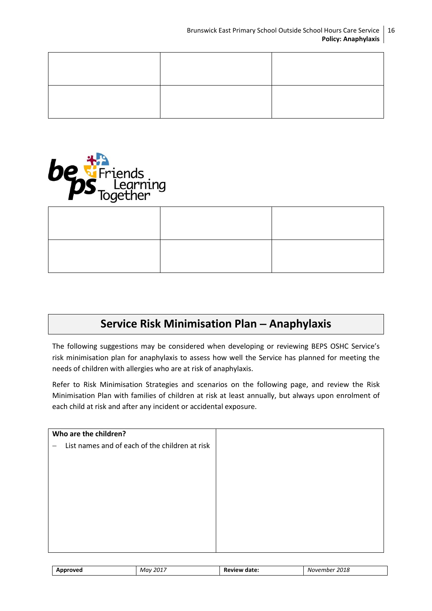

### **Service Risk Minimisation Plan - Anaphylaxis**

The following suggestions may be considered when developing or reviewing BEPS OSHC Service's risk minimisation plan for anaphylaxis to assess how well the Service has planned for meeting the needs of children with allergies who are at risk of anaphylaxis.

Refer to Risk Minimisation Strategies and scenarios on the following page, and review the Risk Minimisation Plan with families of children at risk at least annually, but always upon enrolment of each child at risk and after any incident or accidental exposure.

| Who are the children?                                                      |  |
|----------------------------------------------------------------------------|--|
| List names and of each of the children at risk<br>$\overline{\phantom{m}}$ |  |
|                                                                            |  |
|                                                                            |  |
|                                                                            |  |
|                                                                            |  |
|                                                                            |  |
|                                                                            |  |
|                                                                            |  |
|                                                                            |  |
|                                                                            |  |
|                                                                            |  |

| 2018<br>2017<br>Review date:<br>Approved<br>Mav<br>November |  |
|-------------------------------------------------------------|--|
|-------------------------------------------------------------|--|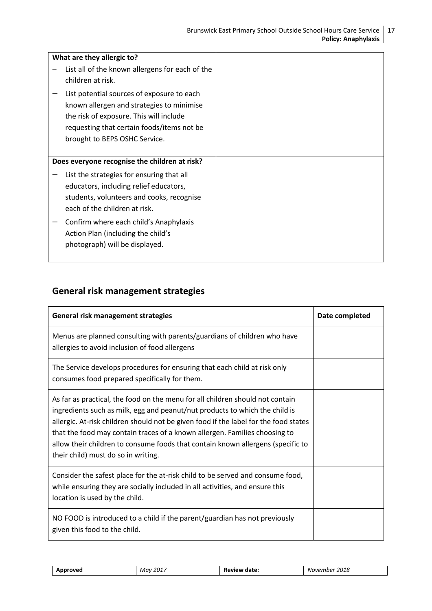| What are they allergic to?                                                                                                                                                                                        |
|-------------------------------------------------------------------------------------------------------------------------------------------------------------------------------------------------------------------|
| List all of the known allergens for each of the<br>children at risk.                                                                                                                                              |
| List potential sources of exposure to each<br>known allergen and strategies to minimise<br>the risk of exposure. This will include<br>requesting that certain foods/items not be<br>brought to BEPS OSHC Service. |
|                                                                                                                                                                                                                   |
| Does everyone recognise the children at risk?                                                                                                                                                                     |
| List the strategies for ensuring that all<br>educators, including relief educators,<br>students, volunteers and cooks, recognise<br>each of the children at risk.                                                 |

### **General risk management strategies**

| <b>General risk management strategies</b>                                                                                                                                                                                                                                                                                                                                                                                                                    | Date completed |
|--------------------------------------------------------------------------------------------------------------------------------------------------------------------------------------------------------------------------------------------------------------------------------------------------------------------------------------------------------------------------------------------------------------------------------------------------------------|----------------|
| Menus are planned consulting with parents/guardians of children who have<br>allergies to avoid inclusion of food allergens                                                                                                                                                                                                                                                                                                                                   |                |
| The Service develops procedures for ensuring that each child at risk only<br>consumes food prepared specifically for them.                                                                                                                                                                                                                                                                                                                                   |                |
| As far as practical, the food on the menu for all children should not contain<br>ingredients such as milk, egg and peanut/nut products to which the child is<br>allergic. At-risk children should not be given food if the label for the food states<br>that the food may contain traces of a known allergen. Families choosing to<br>allow their children to consume foods that contain known allergens (specific to<br>their child) must do so in writing. |                |
| Consider the safest place for the at-risk child to be served and consume food,<br>while ensuring they are socially included in all activities, and ensure this<br>location is used by the child.                                                                                                                                                                                                                                                             |                |
| NO FOOD is introduced to a child if the parent/guardian has not previously<br>given this food to the child.                                                                                                                                                                                                                                                                                                                                                  |                |

| $\sim$ $-$<br>2018<br>201,<br>Approved<br>date:<br>Mav<br>November<br><b>Review</b> |  |  |
|-------------------------------------------------------------------------------------|--|--|
|                                                                                     |  |  |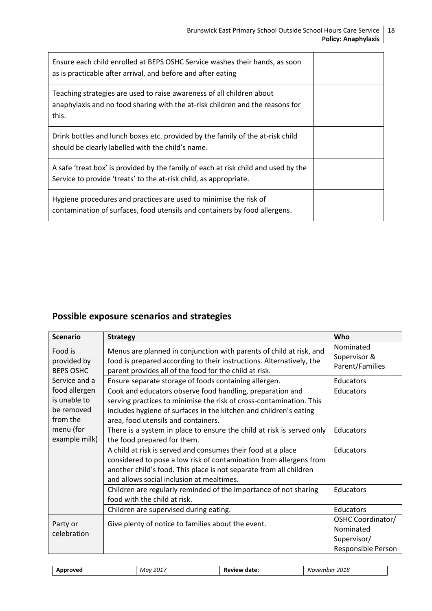| Ensure each child enrolled at BEPS OSHC Service washes their hands, as soon<br>as is practicable after arrival, and before and after eating                     |  |
|-----------------------------------------------------------------------------------------------------------------------------------------------------------------|--|
| Teaching strategies are used to raise awareness of all children about<br>anaphylaxis and no food sharing with the at-risk children and the reasons for<br>this. |  |
| Drink bottles and lunch boxes etc. provided by the family of the at-risk child<br>should be clearly labelled with the child's name.                             |  |
| A safe 'treat box' is provided by the family of each at risk child and used by the<br>Service to provide 'treats' to the at-risk child, as appropriate.         |  |
| Hygiene procedures and practices are used to minimise the risk of<br>contamination of surfaces, food utensils and containers by food allergens.                 |  |

### **Possible exposure scenarios and strategies**

| <b>Scenario</b>                                         | <b>Strategy</b>                                                                                                                                                                                                                                       | Who                                           |
|---------------------------------------------------------|-------------------------------------------------------------------------------------------------------------------------------------------------------------------------------------------------------------------------------------------------------|-----------------------------------------------|
| Food is<br>provided by<br><b>BEPS OSHC</b>              | Menus are planned in conjunction with parents of child at risk, and<br>food is prepared according to their instructions. Alternatively, the<br>parent provides all of the food for the child at risk.                                                 | Nominated<br>Supervisor &<br>Parent/Families  |
| Service and a                                           | Ensure separate storage of foods containing allergen.                                                                                                                                                                                                 | Educators                                     |
| food allergen<br>is unable to<br>be removed<br>from the | Cook and educators observe food handling, preparation and<br>serving practices to minimise the risk of cross-contamination. This<br>includes hygiene of surfaces in the kitchen and children's eating<br>area, food utensils and containers.          | Educators                                     |
| menu (for<br>example milk)                              | There is a system in place to ensure the child at risk is served only<br>the food prepared for them.                                                                                                                                                  | Educators                                     |
|                                                         | A child at risk is served and consumes their food at a place<br>considered to pose a low risk of contamination from allergens from<br>another child's food. This place is not separate from all children<br>and allows social inclusion at mealtimes. | Educators                                     |
|                                                         | Children are regularly reminded of the importance of not sharing<br>food with the child at risk.                                                                                                                                                      | Educators                                     |
|                                                         | Children are supervised during eating.                                                                                                                                                                                                                | Educators                                     |
| Party or<br>celebration                                 | Give plenty of notice to families about the event.                                                                                                                                                                                                    | OSHC Coordinator/<br>Nominated<br>Supervisor/ |
|                                                         |                                                                                                                                                                                                                                                       | Responsible Person                            |

| Approved | 2017<br>Mav | <b>Review date:</b> | 2018<br>November |
|----------|-------------|---------------------|------------------|
|----------|-------------|---------------------|------------------|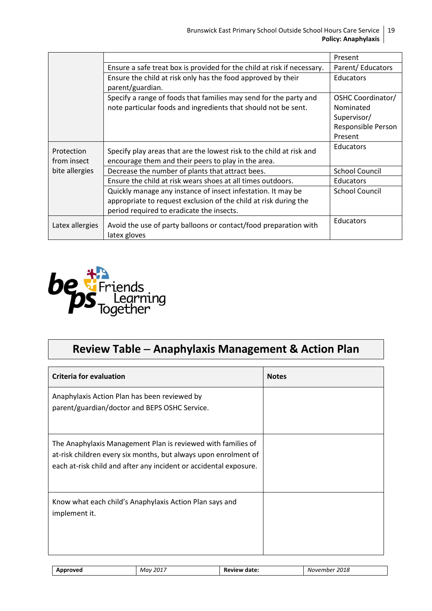|                           |                                                                                                                                                                               | Present                                                                        |
|---------------------------|-------------------------------------------------------------------------------------------------------------------------------------------------------------------------------|--------------------------------------------------------------------------------|
|                           | Ensure a safe treat box is provided for the child at risk if necessary.                                                                                                       | Parent/ Educators                                                              |
|                           | Ensure the child at risk only has the food approved by their<br>parent/guardian.                                                                                              | Educators                                                                      |
|                           | Specify a range of foods that families may send for the party and<br>note particular foods and ingredients that should not be sent.                                           | OSHC Coordinator/<br>Nominated<br>Supervisor/<br>Responsible Person<br>Present |
| Protection<br>from insect | Specify play areas that are the lowest risk to the child at risk and<br>encourage them and their peers to play in the area.                                                   | Educators                                                                      |
| bite allergies            | Decrease the number of plants that attract bees.                                                                                                                              | <b>School Council</b>                                                          |
|                           | Ensure the child at risk wears shoes at all times outdoors.                                                                                                                   | Educators                                                                      |
|                           | Quickly manage any instance of insect infestation. It may be<br>appropriate to request exclusion of the child at risk during the<br>period required to eradicate the insects. | School Council                                                                 |
| Latex allergies           | Avoid the use of party balloons or contact/food preparation with<br>latex gloves                                                                                              | Educators                                                                      |



# **Review Table Anaphylaxis Management & Action Plan**

| <b>Criteria for evaluation</b>                                                                                                                                                                       | <b>Notes</b> |
|------------------------------------------------------------------------------------------------------------------------------------------------------------------------------------------------------|--------------|
| Anaphylaxis Action Plan has been reviewed by<br>parent/guardian/doctor and BEPS OSHC Service.                                                                                                        |              |
| The Anaphylaxis Management Plan is reviewed with families of<br>at-risk children every six months, but always upon enrolment of<br>each at-risk child and after any incident or accidental exposure. |              |
| Know what each child's Anaphylaxis Action Plan says and<br>implement it.                                                                                                                             |              |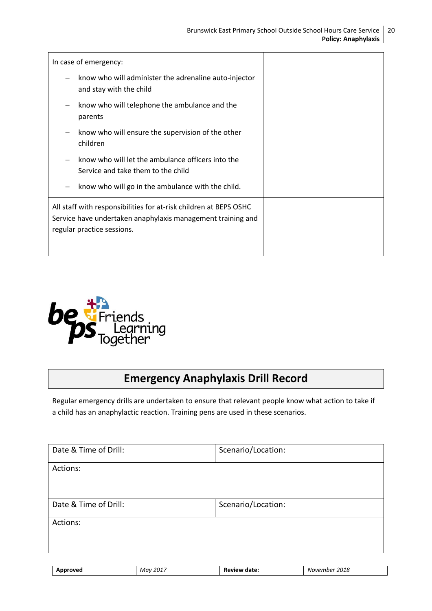| In case of emergency: |                                                                                                                                                                |  |
|-----------------------|----------------------------------------------------------------------------------------------------------------------------------------------------------------|--|
|                       | know who will administer the adrenaline auto-injector<br>and stay with the child                                                                               |  |
|                       | know who will telephone the ambulance and the<br>parents                                                                                                       |  |
|                       | know who will ensure the supervision of the other<br>children                                                                                                  |  |
|                       | know who will let the ambulance officers into the<br>Service and take them to the child                                                                        |  |
|                       | know who will go in the ambulance with the child.                                                                                                              |  |
|                       | All staff with responsibilities for at-risk children at BEPS OSHC<br>Service have undertaken anaphylaxis management training and<br>regular practice sessions. |  |



### **Emergency Anaphylaxis Drill Record**

Regular emergency drills are undertaken to ensure that relevant people know what action to take if a child has an anaphylactic reaction. Training pens are used in these scenarios.

| Date & Time of Drill: | Scenario/Location: |
|-----------------------|--------------------|
| Actions:              |                    |
|                       |                    |
| Date & Time of Drill: | Scenario/Location: |
| Actions:              |                    |
|                       |                    |
|                       |                    |

|--|